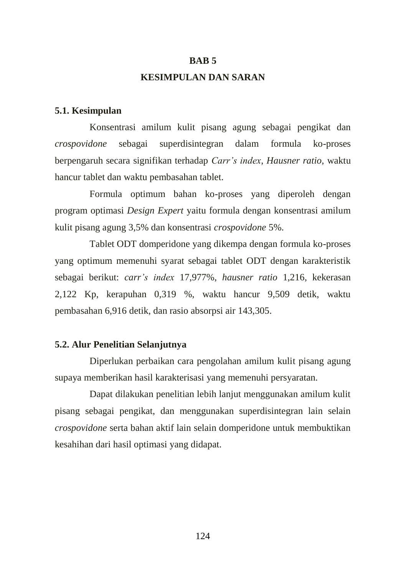#### **BAB 5**

# **KESIMPULAN DAN SARAN**

## **5.1. Kesimpulan**

Konsentrasi amilum kulit pisang agung sebagai pengikat dan *crospovidone* sebagai superdisintegran dalam formula ko-proses berpengaruh secara signifikan terhadap *Carr's index*, *Hausner ratio*, waktu hancur tablet dan waktu pembasahan tablet.

Formula optimum bahan ko-proses yang diperoleh dengan program optimasi *Design Expert* yaitu formula dengan konsentrasi amilum kulit pisang agung 3,5% dan konsentrasi *crospovidone* 5%.

Tablet ODT domperidone yang dikempa dengan formula ko-proses yang optimum memenuhi syarat sebagai tablet ODT dengan karakteristik sebagai berikut: *carr's index* 17,977%, *hausner ratio* 1,216, kekerasan 2,122 Kp, kerapuhan 0,319 %, waktu hancur 9,509 detik, waktu pembasahan 6,916 detik, dan rasio absorpsi air 143,305.

## **5.2. Alur Penelitian Selanjutnya**

 Diperlukan perbaikan cara pengolahan amilum kulit pisang agung supaya memberikan hasil karakterisasi yang memenuhi persyaratan.

 Dapat dilakukan penelitian lebih lanjut menggunakan amilum kulit pisang sebagai pengikat, dan menggunakan superdisintegran lain selain *crospovidone* serta bahan aktif lain selain domperidone untuk membuktikan kesahihan dari hasil optimasi yang didapat.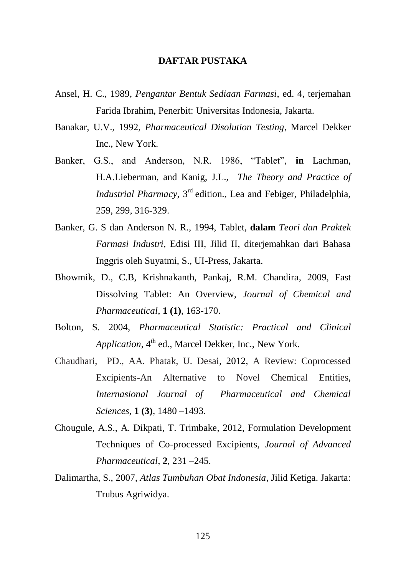### **DAFTAR PUSTAKA**

- Ansel, H. C., 1989, *Pengantar Bentuk Sediaan Farmasi*, ed. 4, terjemahan Farida Ibrahim, Penerbit: Universitas Indonesia, Jakarta.
- Banakar, U.V., 1992, *Pharmaceutical Disolution Testing*, Marcel Dekker Inc., New York.
- Banker, G.S., and Anderson, N.R. 1986, "Tablet", **in** Lachman, H.A.Lieberman, and Kanig, J.L.,*The Theory and Practice of Industrial Pharmacy*, 3<sup>rd</sup> edition., Lea and Febiger, Philadelphia, 259, 299, 316-329.
- Banker, G. S dan Anderson N. R., 1994, Tablet, **dalam** *Teori dan Praktek Farmasi Industri*, Edisi III, Jilid II, diterjemahkan dari Bahasa Inggris oleh Suyatmi, S., UI-Press, Jakarta.
- Bhowmik, D., C.B, Krishnakanth, Pankaj, R.M. Chandira, 2009, Fast Dissolving Tablet: An Overview, *Journal of Chemical and Pharmaceutical*, **1 (1)**, 163-170.
- Bolton, S. 2004, *Pharmaceutical Statistic: Practical and Clinical Application*, 4<sup>th</sup> ed., Marcel Dekker, Inc., New York.
- Chaudhari, PD., AA. Phatak, U. Desai, 2012, A Review: Coprocessed Excipients-An Alternative to Novel Chemical Entities, *Internasional Journal of Pharmaceutical and Chemical Sciences*, **1 (3)**, 1480 –1493.
- Chougule, A.S., A. Dikpati, T. Trimbake, 2012, Formulation Development Techniques of Co-processed Excipients, *Journal of Advanced Pharmaceutical*, **2**, 231 –245.
- Dalimartha, S., 2007, *Atlas Tumbuhan Obat Indonesia*, Jilid Ketiga. Jakarta: Trubus Agriwidya.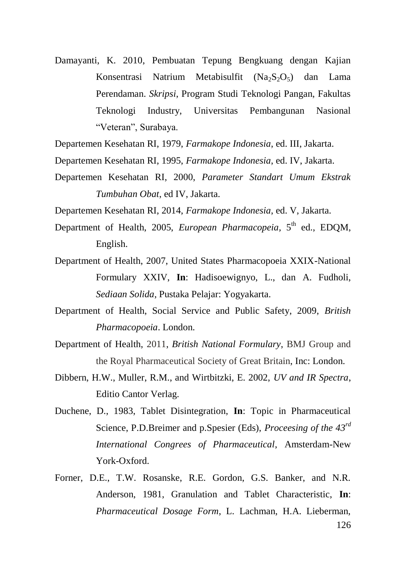- Damayanti, K. 2010, Pembuatan Tepung Bengkuang dengan Kajian Konsentrasi Natrium Metabisulfit (Na<sub>2</sub>S<sub>2</sub>O<sub>5</sub>) dan Lama Perendaman. *Skripsi*, Program Studi Teknologi Pangan, Fakultas Teknologi Industry, Universitas Pembangunan Nasional "Veteran", Surabaya.
- Departemen Kesehatan RI, 1979, *Farmakope Indonesia*, ed. III, Jakarta.
- Departemen Kesehatan RI, 1995, *Farmakope Indonesia*, ed. IV, Jakarta.
- Departemen Kesehatan RI, 2000, *Parameter Standart Umum Ekstrak Tumbuhan Obat*, ed IV, Jakarta.

Departemen Kesehatan RI, 2014, *Farmakope Indonesia*, ed. V, Jakarta.

- Department of Health, 2005, *European Pharmacopeia*, 5<sup>th</sup> ed., EDQM, English.
- Department of Health, 2007, United States Pharmacopoeia XXIX-National Formulary XXIV, **In**: Hadisoewignyo, L., dan A. Fudholi, *Sediaan Solida*, Pustaka Pelajar: Yogyakarta.
- Department of Health, Social Service and Public Safety, 2009, *British Pharmacopoeia*. London.
- Department of Health, 2011, *British National Formulary*, BMJ Group and the Royal Pharmaceutical Society of Great Britain, Inc: London.
- Dibbern, H.W., Muller, R.M., and Wirtbitzki, E. 2002, *UV and IR Spectra*, Editio Cantor Verlag.
- Duchene, D., 1983, Tablet Disintegration, **In**: Topic in Pharmaceutical Science, P.D.Breimer and p.Spesier (Eds), *Proceesing of the 43rd International Congrees of Pharmaceutical*, Amsterdam-New York-Oxford.
- 126 Forner, D.E., T.W. Rosanske, R.E. Gordon, G.S. Banker, and N.R. Anderson, 1981, Granulation and Tablet Characteristic, **In**: *Pharmaceutical Dosage Form*, L. Lachman, H.A. Lieberman,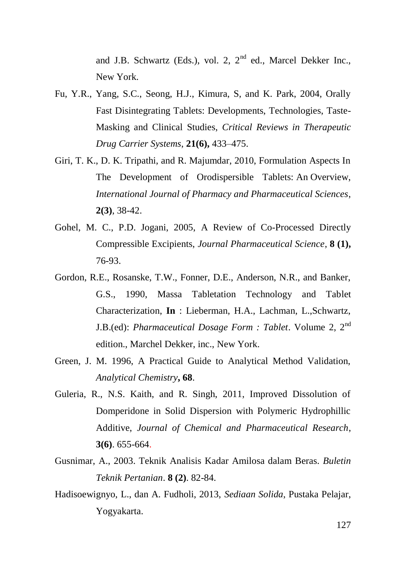and J.B. Schwartz (Eds.), vol. 2,  $2<sup>nd</sup>$  ed., Marcel Dekker Inc., New York.

- Fu, Y.R., Yang, S.C., Seong, H.J., Kimura, S, and K. Park, 2004, Orally Fast Disintegrating Tablets: Developments, Technologies, Taste-Masking and Clinical Studies, *Critical Reviews in Therapeutic Drug Carrier Systems*, **21(6),** 433–475.
- Giri, T. K., D. K. Tripathi, and R. Majumdar, 2010, Formulation Aspects In The Development of Orodispersible Tablets: An Overview, *International Journal of Pharmacy and Pharmaceutical Sciences*, **2(3)**, 38-42.
- Gohel, M. C., P.D. Jogani, 2005, A Review of Co-Processed Directly Compressible Excipients, *Journal Pharmaceutical Science*, **8 (1),** 76-93.
- Gordon, R.E., Rosanske, T.W., Fonner, D.E., Anderson, N.R., and Banker, G.S., 1990, Massa Tabletation Technology and Tablet Characterization, **In** : Lieberman, H.A., Lachman, L.,Schwartz, J.B.(ed): *Pharmaceutical Dosage Form : Tablet*. Volume 2, 2nd edition., Marchel Dekker, inc., New York.
- Green, J. M. 1996, A Practical Guide to Analytical Method Validation, *Analytical Chemistry***, 68**.
- Guleria, R., N.S. Kaith, and R. Singh, 2011, Improved Dissolution of Domperidone in Solid Dispersion with Polymeric Hydrophillic Additive, *Journal of Chemical and Pharmaceutical Research*, **3(6)**. 655-664.
- Gusnimar, A., 2003. Teknik Analisis Kadar Amilosa dalam Beras. *Buletin Teknik Pertanian*. **8 (2)**. 82-84.
- Hadisoewignyo, L., dan A. Fudholi, 2013, *Sediaan Solida*, Pustaka Pelajar, Yogyakarta.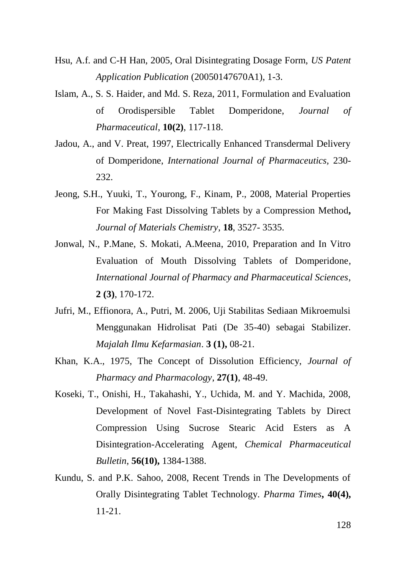- Hsu, A.f. and C-H Han, 2005, Oral Disintegrating Dosage Form, *US Patent Application Publication* (20050147670A1), 1-3.
- Islam, A., S. S. Haider, and Md. S. Reza, 2011, Formulation and Evaluation of Orodispersible Tablet Domperidone, *Journal of Pharmaceutical*, **10(2)**, 117-118.
- Jadou, A., and V. Preat, 1997, Electrically Enhanced Transdermal Delivery of Domperidone, *International Journal of Pharmaceutics,* 230- 232.
- Jeong, S.H., Yuuki, T., Yourong, F., Kinam, P., 2008, Material Properties For Making Fast Dissolving Tablets by a Compression Method**,**  *Journal of Materials Chemistry*, **18**, 3527- 3535.
- Jonwal, N., P.Mane, S. Mokati, A.Meena, 2010, Preparation and In Vitro Evaluation of Mouth Dissolving Tablets of Domperidone, *International Journal of Pharmacy and Pharmaceutical Sciences*, **2 (3)**, 170-172.
- Jufri, M., Effionora, A., Putri, M. 2006, Uji Stabilitas Sediaan Mikroemulsi Menggunakan Hidrolisat Pati (De 35-40) sebagai Stabilizer. *Majalah Ilmu Kefarmasian*. **3 (1),** 08-21.
- Khan, K.A., 1975, The Concept of Dissolution Efficiency, *Journal of Pharmacy and Pharmacology*, **27(1)**, 48-49.
- Koseki, T., Onishi, H., Takahashi, Y., Uchida, M. and Y. Machida, 2008, Development of Novel Fast-Disintegrating Tablets by Direct Compression Using Sucrose Stearic Acid Esters as A Disintegration-Accelerating Agent, *Chemical Pharmaceutical Bulletin*, **56(10),** 1384-1388.
- Kundu, S. and P.K. Sahoo, 2008, Recent Trends in The Developments of Orally Disintegrating Tablet Technology. *Pharma Times***, 40(4),** 11-21.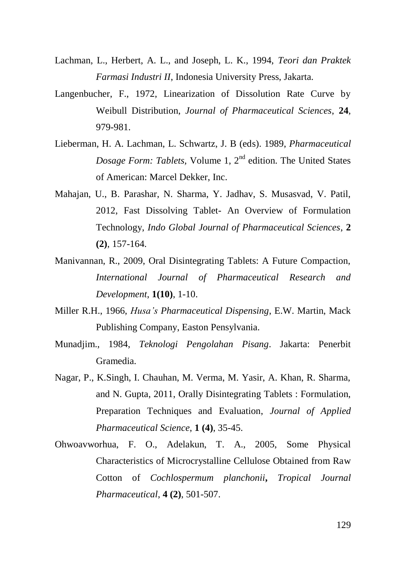- Lachman, L., Herbert, A. L., and Joseph, L. K., 1994, *Teori dan Praktek Farmasi Industri II*, Indonesia University Press, Jakarta.
- Langenbucher, F., 1972, Linearization of Dissolution Rate Curve by Weibull Distribution, *Journal of Pharmaceutical Sciences*, **24**, 979-981.
- Lieberman, H. A. Lachman, L. Schwartz, J. B (eds). 1989, *Pharmaceutical Dosage Form: Tablets, Volume 1, 2<sup>nd</sup> edition. The United States* of American: Marcel Dekker, Inc.
- Mahajan, U., B. Parashar, N. Sharma, Y. Jadhav, S. Musasvad, V. Patil, 2012, Fast Dissolving Tablet- An Overview of Formulation Technology, *Indo Global Journal of Pharmaceutical Sciences*, **2 (2)**, 157-164.
- Manivannan, R., 2009, Oral Disintegrating Tablets: A Future Compaction, *International Journal of Pharmaceutical Research and Development*, **1(10)**, 1-10.
- Miller R.H., 1966, *Husa's Pharmaceutical Dispensing*, E.W. Martin, Mack Publishing Company, Easton Pensylvania.
- Munadjim., 1984, *Teknologi Pengolahan Pisang*. Jakarta: Penerbit Gramedia.
- Nagar, P., K.Singh, I. Chauhan, M. Verma, M. Yasir, A. Khan, R. Sharma, and N. Gupta, 2011, Orally Disintegrating Tablets : Formulation, Preparation Techniques and Evaluation, *Journal of Applied Pharmaceutical Science*, **1 (4)**, 35-45.
- Ohwoavworhua, F. O., Adelakun, T. A., 2005, Some Physical Characteristics of Microcrystalline Cellulose Obtained from Raw Cotton of *Cochlospermum planchonii***,** *Tropical Journal Pharmaceutical*, **4 (2)**, 501-507.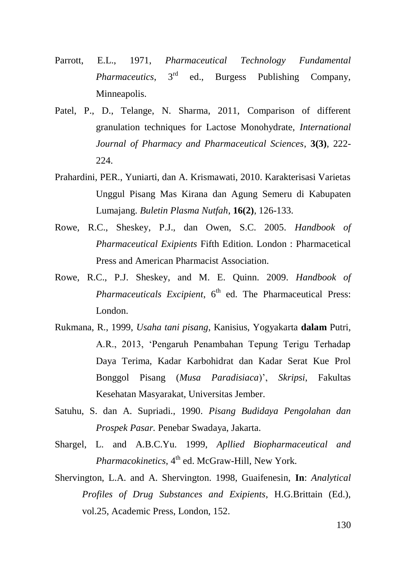- Parrott, E.L., 1971, *Pharmaceutical Technology Fundamental Pharmaceutics*, 3<sup>rd</sup> ed., Burgess Publishing Company, Minneapolis.
- Patel, P., D., Telange, N. Sharma, 2011, Comparison of different granulation techniques for Lactose Monohydrate, *International Journal of Pharmacy and Pharmaceutical Sciences*, **3(3)**, 222- 224.
- Prahardini, PER., Yuniarti, dan A. Krismawati, 2010. Karakterisasi Varietas Unggul Pisang Mas Kirana dan Agung Semeru di Kabupaten Lumajang. *Buletin Plasma Nutfah*, **16(2)**, 126-133.
- Rowe, R.C., Sheskey, P.J., dan Owen, S.C. 2005. *Handbook of Pharmaceutical Exipients* Fifth Edition. London : Pharmacetical Press and American Pharmacist Association.
- Rowe, R.C., P.J. Sheskey, and M. E. Quinn. 2009. *Handbook of Pharmaceuticals Excipient*, 6<sup>th</sup> ed. The Pharmaceutical Press: London.
- Rukmana, R., 1999, *Usaha tani pisang*, Kanisius, Yogyakarta **dalam** Putri, A.R., 2013, 'Pengaruh Penambahan Tepung Terigu Terhadap Daya Terima, Kadar Karbohidrat dan Kadar Serat Kue Prol Bonggol Pisang (*Musa Paradisiaca*)', *Skripsi*, Fakultas Kesehatan Masyarakat, Universitas Jember.
- Satuhu, S. dan A. Supriadi., 1990. *Pisang Budidaya Pengolahan dan Prospek Pasar.* Penebar Swadaya, Jakarta.
- Shargel, L. and A.B.C.Yu. 1999, *Apllied Biopharmaceutical and Pharmacokinetics*, 4<sup>th</sup> ed. McGraw-Hill, New York.
- Shervington, L.A. and A. Shervington. 1998, Guaifenesin, **In**: *Analytical Profiles of Drug Substances and Exipients*, H.G.Brittain (Ed.), vol.25, Academic Press, London, 152.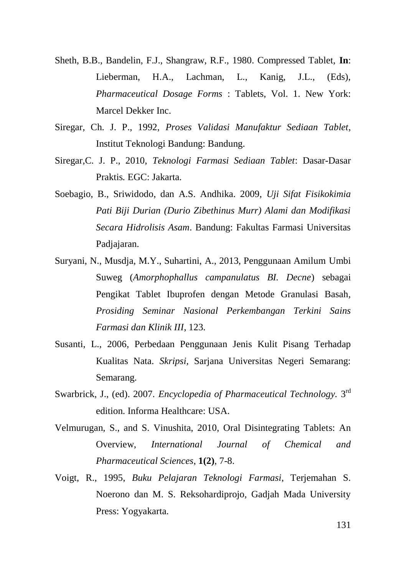- Sheth, B.B., Bandelin, F.J., Shangraw, R.F., 1980. Compressed Tablet, **In**: Lieberman, H.A., Lachman, L., Kanig, J.L., (Eds), *Pharmaceutical Dosage Forms* : Tablets, Vol. 1. New York: Marcel Dekker Inc.
- Siregar, Ch. J. P., 1992, *Proses Validasi Manufaktur Sediaan Tablet*, Institut Teknologi Bandung: Bandung.
- Siregar,C. J. P., 2010, *Teknologi Farmasi Sediaan Tablet*: Dasar-Dasar Praktis*.* EGC: Jakarta.
- Soebagio, B., Sriwidodo, dan A.S. Andhika. 2009, *Uji Sifat Fisikokimia Pati Biji Durian (Durio Zibethinus Murr) Alami dan Modifikasi Secara Hidrolisis Asam*. Bandung: Fakultas Farmasi Universitas Padjajaran.
- Suryani, N., Musdja, M.Y., Suhartini, A., 2013, Penggunaan Amilum Umbi Suweg (*Amorphophallus campanulatus BI. Decne*) sebagai Pengikat Tablet Ibuprofen dengan Metode Granulasi Basah*, Prosiding Seminar Nasional Perkembangan Terkini Sains Farmasi dan Klinik III*, 123.
- Susanti, L., 2006, Perbedaan Penggunaan Jenis Kulit Pisang Terhadap Kualitas Nata. *Skripsi,* Sarjana Universitas Negeri Semarang: Semarang.
- Swarbrick, J., (ed). 2007. *Encyclopedia of Pharmaceutical Technology*. 3<sup>rd</sup> edition. Informa Healthcare: USA.
- Velmurugan, S., and S. Vinushita, 2010, Oral Disintegrating Tablets: An Overview, *International Journal of Chemical and Pharmaceutical Sciences*, **1(2)**, 7-8.
- Voigt, R., 1995, *Buku Pelajaran Teknologi Farmasi*, Terjemahan S. Noerono dan M. S. Reksohardiprojo, Gadjah Mada University Press: Yogyakarta.